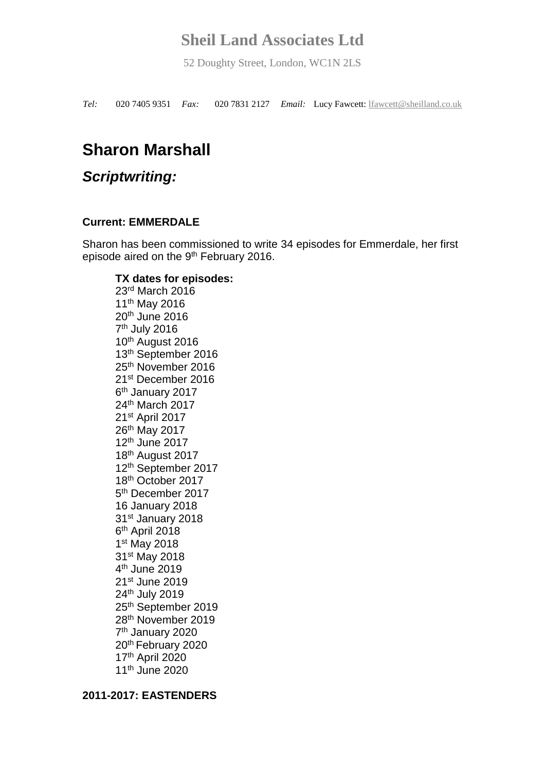52 Doughty Street, London, WC1N 2LS

*Tel:* 020 7405 9351 *Fax:* 020 7831 2127 *Email:* Lucy Fawcett: [lfawcett@sheilland.co.uk](mailto:lfawcett@sheilland.co.uk)

# **Sharon Marshall**

# *Scriptwriting:*

### **Current: EMMERDALE**

Sharon has been commissioned to write 34 episodes for Emmerdale, her first episode aired on the 9<sup>th</sup> February 2016.

## **TX dates for episodes:**

rd March 2016 th May 2016 th June 2016 7<sup>th</sup> July 2016 th August 2016 th September 2016 th November 2016 st December 2016 6<sup>th</sup> January 2017 th March 2017 st April 2017 th May 2017 th June 2017 th August 2017 th September 2017 th October 2017 5<sup>th</sup> December 2017 16 January 2018 st January 2018 6<sup>th</sup> April 2018 st May 2018 st May 2018 4<sup>th</sup> June 2019 st June 2019 th July 2019 th September 2019 th November 2019 7<sup>th</sup> January 2020 th February 2020 th April 2020 th June 2020

#### **2011-2017: EASTENDERS**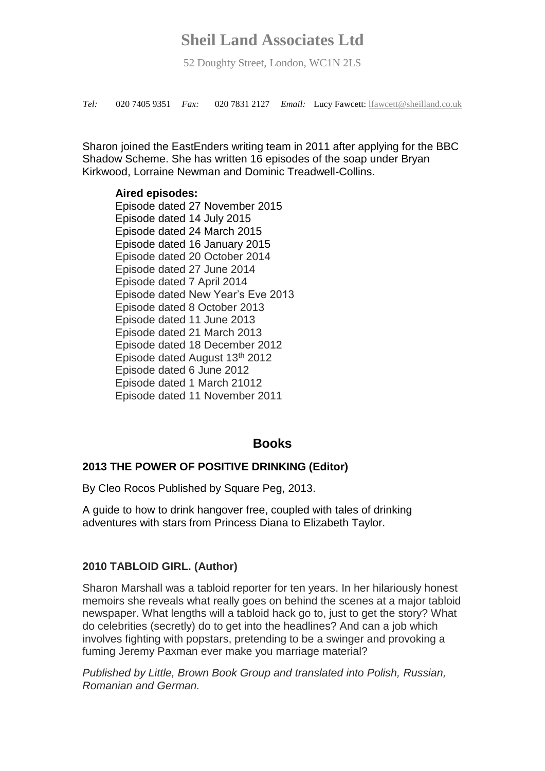52 Doughty Street, London, WC1N 2LS

*Tel:* 020 7405 9351 *Fax:* 020 7831 2127 *Email:* Lucy Fawcett: [lfawcett@sheilland.co.uk](mailto:lfawcett@sheilland.co.uk)

Sharon joined the EastEnders writing team in 2011 after applying for the BBC Shadow Scheme. She has written 16 episodes of the soap under Bryan Kirkwood, Lorraine Newman and Dominic Treadwell-Collins.

#### **Aired episodes:**

Episode dated 27 November 2015 Episode dated 14 July 2015 Episode dated 24 March 2015 Episode dated 16 January 2015 Episode dated 20 October 2014 Episode dated 27 June 2014 Episode dated 7 April 2014 Episode dated New Year's Eve 2013 Episode dated 8 October 2013 Episode dated 11 June 2013 Episode dated 21 March 2013 Episode dated 18 December 2012 Episode dated August 13th 2012 Episode dated 6 June 2012 Episode dated 1 March 21012 Episode dated 11 November 2011

### **Books**

### **2013 THE POWER OF POSITIVE DRINKING (Editor)**

By Cleo Rocos Published by Square Peg, 2013.

A guide to how to drink hangover free, coupled with tales of drinking adventures with stars from Princess Diana to Elizabeth Taylor.

#### **2010 TABLOID GIRL. (Author)**

Sharon Marshall was a tabloid reporter for ten years. In her hilariously honest memoirs she reveals what really goes on behind the scenes at a major tabloid newspaper. What lengths will a tabloid hack go to, just to get the story? What do celebrities (secretly) do to get into the headlines? And can a job which involves fighting with popstars, pretending to be a swinger and provoking a fuming Jeremy Paxman ever make you marriage material?

*Published by Little, Brown Book Group and translated into Polish, Russian, Romanian and German.*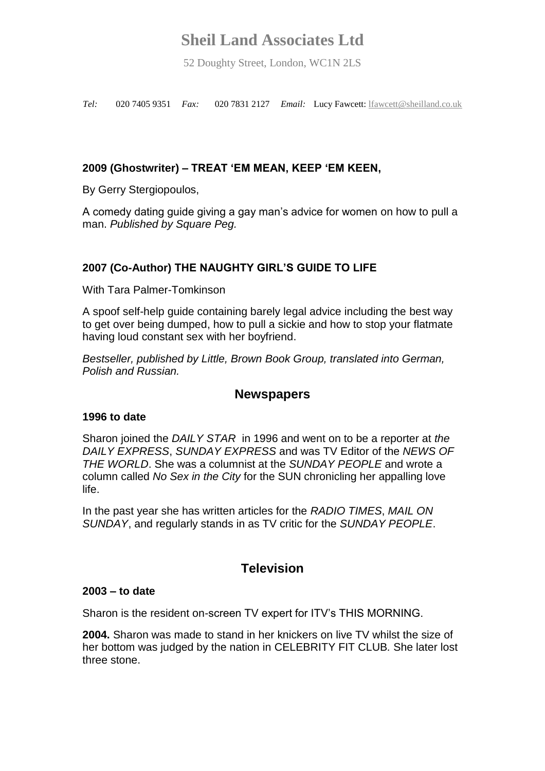52 Doughty Street, London, WC1N 2LS

*Tel:* 020 7405 9351 *Fax:* 020 7831 2127 *Email:* Lucy Fawcett: [lfawcett@sheilland.co.uk](mailto:lfawcett@sheilland.co.uk)

## **2009 (Ghostwriter) – TREAT 'EM MEAN, KEEP 'EM KEEN,**

By Gerry Stergiopoulos,

A comedy dating guide giving a gay man's advice for women on how to pull a man. *Published by Square Peg.*

## **2007 (Co-Author) THE NAUGHTY GIRL'S GUIDE TO LIFE**

With Tara Palmer-Tomkinson

A spoof self-help guide containing barely legal advice including the best way to get over being dumped, how to pull a sickie and how to stop your flatmate having loud constant sex with her boyfriend.

*Bestseller, published by Little, Brown Book Group, translated into German, Polish and Russian.*

### **Newspapers**

#### **1996 to date**

Sharon joined the *DAILY STAR* in 1996 and went on to be a reporter at *the DAILY EXPRESS*, *SUNDAY EXPRESS* and was TV Editor of the *NEWS OF THE WORLD*. She was a columnist at the *SUNDAY PEOPLE* and wrote a column called *No Sex in the City* for the SUN chronicling her appalling love life.

In the past year she has written articles for the *RADIO TIMES*, *MAIL ON SUNDAY*, and regularly stands in as TV critic for the *SUNDAY PEOPLE*.

## **Television**

#### **2003 – to date**

Sharon is the resident on-screen TV expert for ITV's THIS MORNING.

**2004.** Sharon was made to stand in her knickers on live TV whilst the size of her bottom was judged by the nation in CELEBRITY FIT CLUB*.* She later lost three stone.